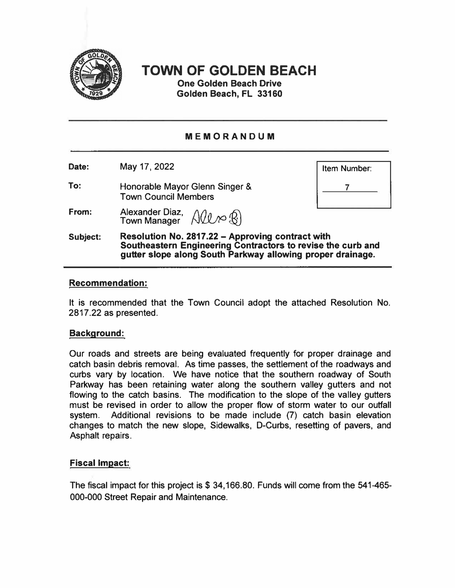

# **TOWN OF GOLDEN BEACH**

**One Golden Beach Drive Golden Beach, FL 33160** 

# **MEMORANDUM**

**Date:**  May 17, 2022

**To:**  Honorable Mayor Glenn Singer & Town Council Members

**From:**  Alexander Diaz,  $\bigwedge \mathcal{U} \curvearrowright \mathcal{R}$  **Item Number: 7** 

**Subject: Resolution No. 2817 .22 - Approving contract with Southeastern Engineering Contractors to revise the curb and gutter slope along South Parkway allowing proper drainage.** 

## **Recommendation:**

It is recommended that the Town Council adopt the attached Resolution No. 2817.22 as presented.

#### **Background:**

Our roads and streets are being evaluated frequently for proper drainage and catch basin debris removal. As time passes, the settlement of the roadways and curbs vary by location. We have notice that the southern roadway of South Parkway has been retaining water along the southern valley gutters and not flowing to the catch basins. The modification to the slope of the valley gutters must be revised in order to allow the proper flow of storm water to our outfall system. Additional revisions to be made include (7} catch basin elevation changes to match the new slope, Sidewalks, D-Curbs, resetting of pavers, and Asphalt repairs.

# **Fiscal Impact:**

The fiscal impact for this project is \$ 34,166.80. Funds will come from the 541-465-000-000 Street Repair and Maintenance.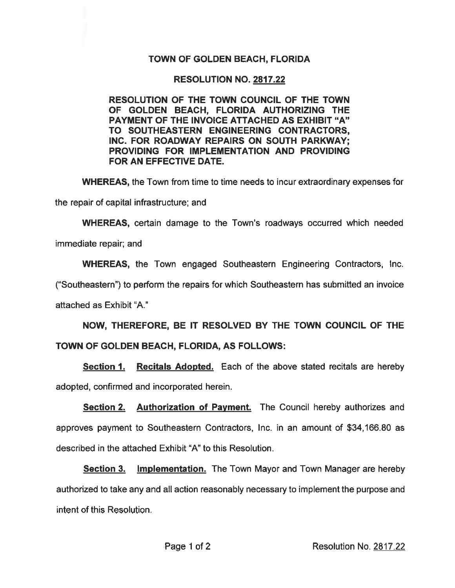## **TOWN OF GOLDEN BEACH, FLORIDA**

### **RESOLUTION NO. 2817.22**

RESOLUTION OF THE TOWN COUNCIL OF THE TOWN OF GOLDEN BEACH, FLORIDA AUTHORIZING THE **PAYMENT OF THE INVOICE ATTACHED AS EXHIBIT "A"** TO SOUTHEASTERN ENGINEERING CONTRACTORS, INC. FOR ROADWAY REPAIRS ON SOUTH PARKWAY; PROVIDING FOR IMPLEMENTATION AND PROVIDING FOR AN EFFECTIVE DATE.

**WHEREAS, the Town from time to time needs to incur extraordinary expenses for** 

the repair of capital infrastructure; and

**WHEREAS, certain damage to the Town's roadways occurred which needed** 

immediate repair; and

**WHEREAS,** the Town engaged Southeastern Engineering Contractors, Inc.

("Southeastern") to perform the repairs for which Southeastern has submitted an invoice

attached as Exhibit "A."

NOW, THEREFORE, BE IT RESOLVED BY THE TOWN COUNCIL OF THE TOWN OF GOLDEN BEACH, FLORIDA, AS FOLLOWS:

**Section 1. Recitals Adopted.** Each of the above stated recitals are hereby adopted, confirmed and incorporated herein.

Section 2. Authorization of Payment. The Council hereby authorizes and approves payment to Southeastern Contractors, Inc. in an amount of \$34,166.80 as described in the attached Exhibit "A" to this Resolution.

**Section 3.** Implementation. The Town Mayor and Town Manager are hereby authorized to take any and all action reasonably necessary to implement the purpose and intent of this Resolution.

Resolution No. 2817.22